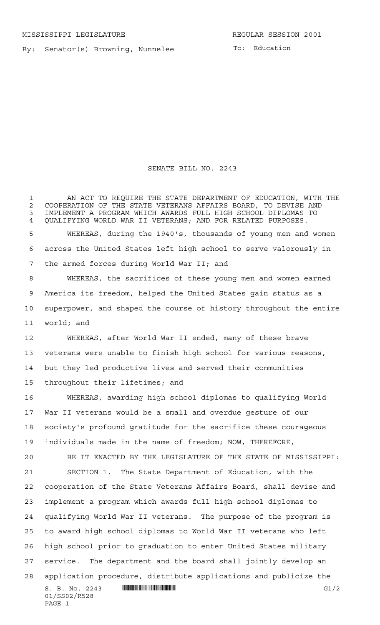By: Senator(s) Browning, Nunnelee

SENATE BILL NO. 2243

 $S. B. No. 2243$  **... Source and the Contract of Contract Contract Contract Contract Contract Contract Contract Contract Contract Contract Contract Contract Contract Contract Contract Contract Contract Contract Contract Cont** 01/SS02/R528 PAGE 1 1 AN ACT TO REQUIRE THE STATE DEPARTMENT OF EDUCATION, WITH THE 2 COOPERATION OF THE STATE VETERANS AFFAIRS BOARD, TO DEVISE AND<br>3 IMPLEMENT A PROGRAM WHICH AWARDS FULL HIGH SCHOOL DIPLOMAS TO IMPLEMENT A PROGRAM WHICH AWARDS FULL HIGH SCHOOL DIPLOMAS TO QUALIFYING WORLD WAR II VETERANS; AND FOR RELATED PURPOSES. WHEREAS, during the 1940's, thousands of young men and women across the United States left high school to serve valorously in the armed forces during World War II; and WHEREAS, the sacrifices of these young men and women earned America its freedom, helped the United States gain status as a superpower, and shaped the course of history throughout the entire world; and WHEREAS, after World War II ended, many of these brave veterans were unable to finish high school for various reasons, but they led productive lives and served their communities throughout their lifetimes; and WHEREAS, awarding high school diplomas to qualifying World War II veterans would be a small and overdue gesture of our society's profound gratitude for the sacrifice these courageous individuals made in the name of freedom; NOW, THEREFORE, BE IT ENACTED BY THE LEGISLATURE OF THE STATE OF MISSISSIPPI: SECTION 1. The State Department of Education, with the cooperation of the State Veterans Affairs Board, shall devise and implement a program which awards full high school diplomas to qualifying World War II veterans. The purpose of the program is to award high school diplomas to World War II veterans who left high school prior to graduation to enter United States military service. The department and the board shall jointly develop an application procedure, distribute applications and publicize the